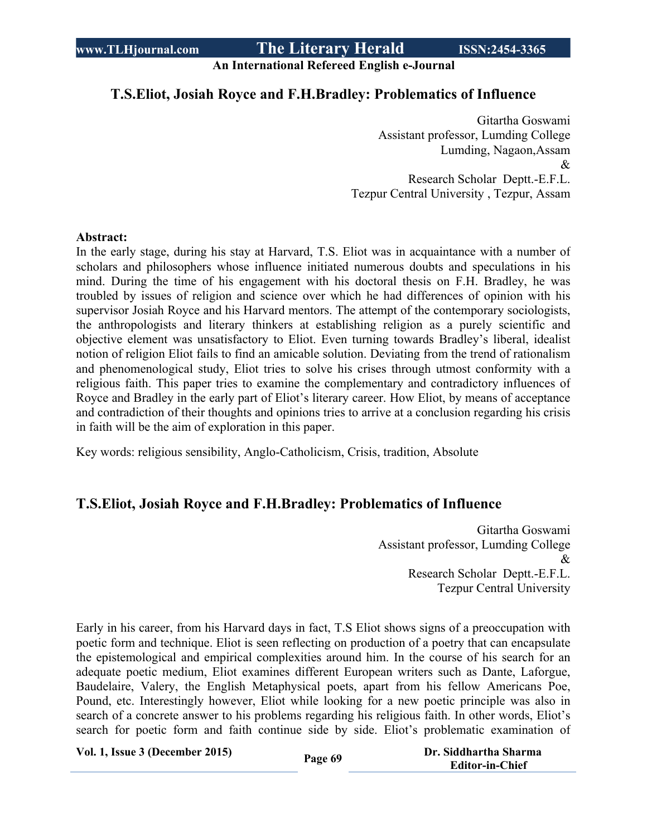**An International Refereed English e-Journal**

### **T.S.Eliot, Josiah Royce and F.H.Bradley: Problematics of Influence**

 Gitartha Goswami Assistant professor, Lumding College Lumding, Nagaon,Assam & Research Scholar Deptt.-E.F.L. Tezpur Central University , Tezpur, Assam

#### **Abstract:**

In the early stage, during his stay at Harvard, T.S. Eliot was in acquaintance with a number of scholars and philosophers whose influence initiated numerous doubts and speculations in his mind. During the time of his engagement with his doctoral thesis on F.H. Bradley, he was troubled by issues of religion and science over which he had differences of opinion with his supervisor Josiah Royce and his Harvard mentors. The attempt of the contemporary sociologists, the anthropologists and literary thinkers at establishing religion as a purely scientific and objective element was unsatisfactory to Eliot. Even turning towards Bradley's liberal, idealist notion of religion Eliot fails to find an amicable solution. Deviating from the trend of rationalism and phenomenological study, Eliot tries to solve his crises through utmost conformity with a religious faith. This paper tries to examine the complementary and contradictory influences of Royce and Bradley in the early part of Eliot's literary career. How Eliot, by means of acceptance and contradiction of their thoughts and opinions tries to arrive at a conclusion regarding his crisis in faith will be the aim of exploration in this paper.

Key words: religious sensibility, Anglo-Catholicism, Crisis, tradition, Absolute

# **T.S.Eliot, Josiah Royce and F.H.Bradley: Problematics of Influence**

Gitartha Goswami Assistant professor, Lumding College & Research Scholar Deptt.-E.F.L. Tezpur Central University

Early in his career, from his Harvard days in fact, T.S Eliot shows signs of a preoccupation with poetic form and technique. Eliot is seen reflecting on production of a poetry that can encapsulate the epistemological and empirical complexities around him. In the course of his search for an adequate poetic medium, Eliot examines different European writers such as Dante, Laforgue, Baudelaire, Valery, the English Metaphysical poets, apart from his fellow Americans Poe, Pound, etc. Interestingly however, Eliot while looking for a new poetic principle was also in search of a concrete answer to his problems regarding his religious faith. In other words, Eliot's search for poetic form and faith continue side by side. Eliot's problematic examination of

**Vol. 1, Issue <sup>3</sup> (December 2015) Page <sup>69</sup> Dr. Siddhartha Sharma**

 **Editor-in-Chief**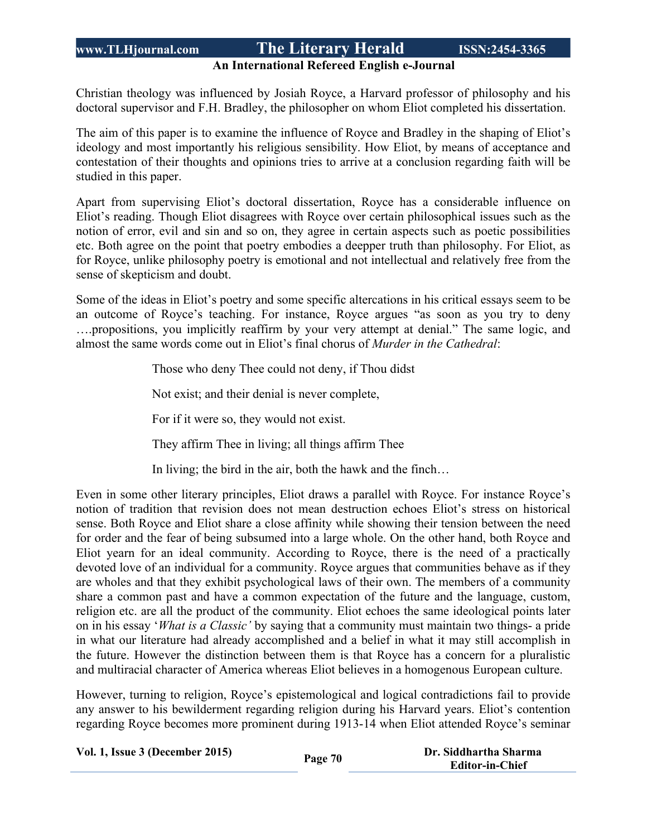#### **An International Refereed English e-Journal**

Christian theology was influenced by Josiah Royce, a Harvard professor of philosophy and his doctoral supervisor and F.H. Bradley, the philosopher on whom Eliot completed his dissertation.

The aim of this paper is to examine the influence of Royce and Bradley in the shaping of Eliot's ideology and most importantly his religious sensibility. How Eliot, by means of acceptance and contestation of their thoughts and opinions tries to arrive at a conclusion regarding faith will be studied in this paper.

Apart from supervising Eliot's doctoral dissertation, Royce has a considerable influence on Eliot's reading. Though Eliot disagrees with Royce over certain philosophical issues such as the notion of error, evil and sin and so on, they agree in certain aspects such as poetic possibilities etc. Both agree on the point that poetry embodies a deepper truth than philosophy. For Eliot, as for Royce, unlike philosophy poetry is emotional and not intellectual and relatively free from the sense of skepticism and doubt.

Some of the ideas in Eliot's poetry and some specific altercations in his critical essays seem to be an outcome of Royce's teaching. For instance, Royce argues "as soon as you try to deny ….propositions, you implicitly reaffirm by your very attempt at denial." The same logic, and almost the same words come out in Eliot's final chorus of *Murder in the Cathedral*:

Those who deny Thee could not deny, if Thou didst

Not exist; and their denial is never complete,

For if it were so, they would not exist.

They affirm Thee in living; all things affirm Thee

In living; the bird in the air, both the hawk and the finch…

Even in some other literary principles, Eliot draws a parallel with Royce. For instance Royce's notion of tradition that revision does not mean destruction echoes Eliot's stress on historical sense. Both Royce and Eliot share a close affinity while showing their tension between the need for order and the fear of being subsumed into a large whole. On the other hand, both Royce and Eliot yearn for an ideal community. According to Royce, there is the need of a practically devoted love of an individual for a community. Royce argues that communities behave as if they are wholes and that they exhibit psychological laws of their own. The members of a community share a common past and have a common expectation of the future and the language, custom, religion etc. are all the product of the community. Eliot echoes the same ideological points later on in his essay '*What is a Classic'* by saying that a community must maintain two things- a pride in what our literature had already accomplished and a belief in what it may still accomplish in the future. However the distinction between them is that Royce has a concern for a pluralistic and multiracial character of America whereas Eliot believes in a homogenous European culture.

However, turning to religion, Royce's epistemological and logical contradictions fail to provide any answer to his bewilderment regarding religion during his Harvard years. Eliot's contention regarding Royce becomes more prominent during 1913-14 when Eliot attended Royce's seminar

|  |  | Vol. 1, Issue 3 (December 2015) |  |
|--|--|---------------------------------|--|
|--|--|---------------------------------|--|

**Vol. 1, Issue <sup>3</sup> (December 2015) Page <sup>70</sup> Dr. Siddhartha Sharma Editor-in-Chief**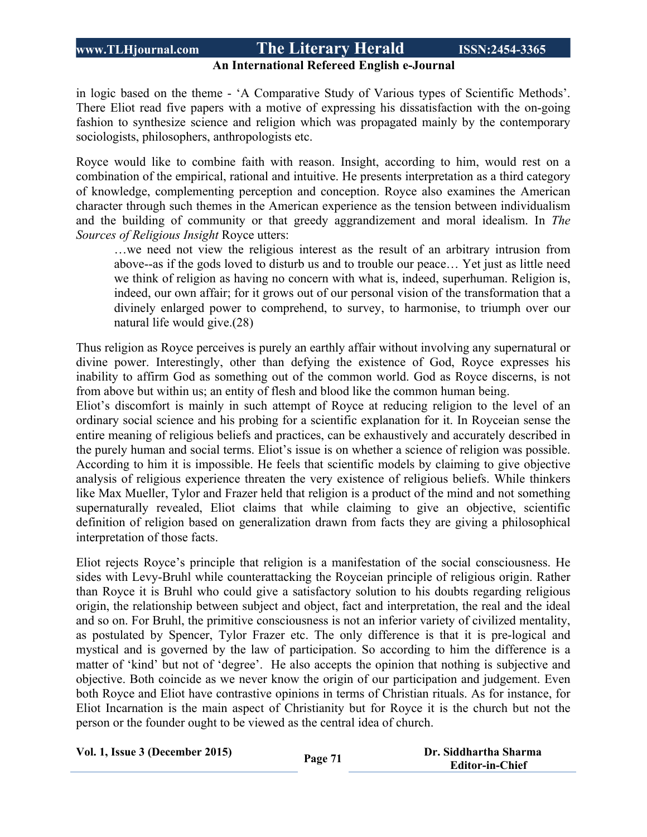#### **An International Refereed English e-Journal**

in logic based on the theme - 'A Comparative Study of Various types of Scientific Methods'. There Eliot read five papers with a motive of expressing his dissatisfaction with the on-going fashion to synthesize science and religion which was propagated mainly by the contemporary sociologists, philosophers, anthropologists etc.

Royce would like to combine faith with reason. Insight, according to him, would rest on a combination of the empirical, rational and intuitive. He presents interpretation as a third category of knowledge, complementing perception and conception. Royce also examines the American character through such themes in the American experience as the tension between individualism and the building of community or that greedy aggrandizement and moral idealism. In *The Sources of Religious Insight* Royce utters:

…we need not view the religious interest as the result of an arbitrary intrusion from above--as if the gods loved to disturb us and to trouble our peace… Yet just as little need we think of religion as having no concern with what is, indeed, superhuman. Religion is, indeed, our own affair; for it grows out of our personal vision of the transformation that a divinely enlarged power to comprehend, to survey, to harmonise, to triumph over our natural life would give.(28)

Thus religion as Royce perceives is purely an earthly affair without involving any supernatural or divine power. Interestingly, other than defying the existence of God, Royce expresses his inability to affirm God as something out of the common world. God as Royce discerns, is not from above but within us; an entity of flesh and blood like the common human being.

Eliot's discomfort is mainly in such attempt of Royce at reducing religion to the level of an ordinary social science and his probing for a scientific explanation for it. In Royceian sense the entire meaning of religious beliefs and practices, can be exhaustively and accurately described in the purely human and social terms. Eliot's issue is on whether a science of religion was possible. According to him it is impossible. He feels that scientific models by claiming to give objective analysis of religious experience threaten the very existence of religious beliefs. While thinkers like Max Mueller, Tylor and Frazer held that religion is a product of the mind and not something supernaturally revealed, Eliot claims that while claiming to give an objective, scientific definition of religion based on generalization drawn from facts they are giving a philosophical interpretation of those facts.

Eliot rejects Royce's principle that religion is a manifestation of the social consciousness. He sides with Levy-Bruhl while counterattacking the Royceian principle of religious origin. Rather than Royce it is Bruhl who could give a satisfactory solution to his doubts regarding religious origin, the relationship between subject and object, fact and interpretation, the real and the ideal and so on. For Bruhl, the primitive consciousness is not an inferior variety of civilized mentality, as postulated by Spencer, Tylor Frazer etc. The only difference is that it is pre-logical and mystical and is governed by the law of participation. So according to him the difference is a matter of 'kind' but not of 'degree'. He also accepts the opinion that nothing is subjective and objective. Both coincide as we never know the origin of our participation and judgement. Even both Royce and Eliot have contrastive opinions in terms of Christian rituals. As for instance, for Eliot Incarnation is the main aspect of Christianity but for Royce it is the church but not the person or the founder ought to be viewed as the central idea of church.

**Vol. 1, Issue <sup>3</sup> (December 2015) Page <sup>71</sup> Dr. Siddhartha Sharma Editor-in-Chief**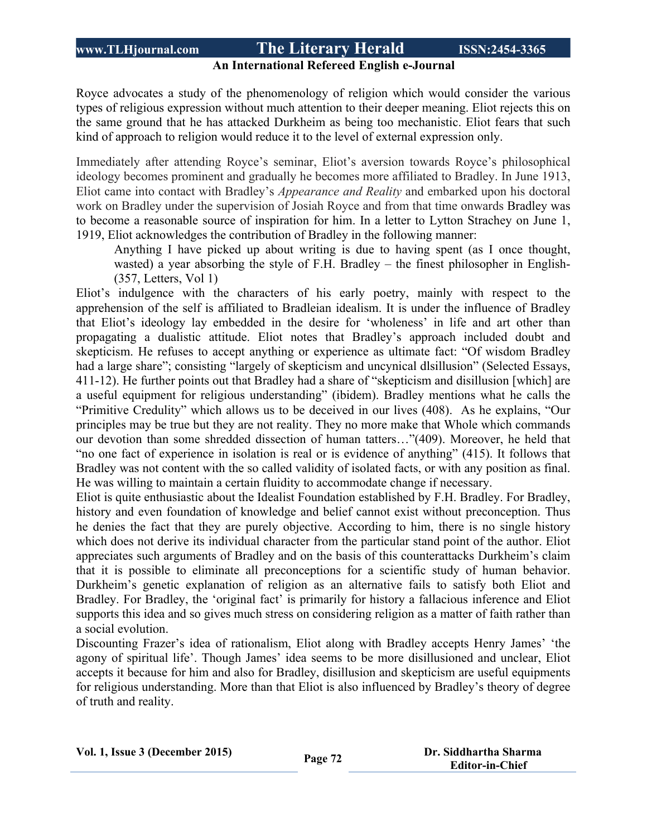#### **An International Refereed English e-Journal**

Royce advocates a study of the phenomenology of religion which would consider the various types of religious expression without much attention to their deeper meaning. Eliot rejects this on the same ground that he has attacked Durkheim as being too mechanistic. Eliot fears that such kind of approach to religion would reduce it to the level of external expression only.

Immediately after attending Royce's seminar, Eliot's aversion towards Royce's philosophical ideology becomes prominent and gradually he becomes more affiliated to Bradley. In June 1913, Eliot came into contact with Bradley's *Appearance and Reality* and embarked upon his doctoral work on Bradley under the supervision of Josiah Royce and from that time onwards Bradley was to become a reasonable source of inspiration for him. In a letter to Lytton Strachey on June 1, 1919, Eliot acknowledges the contribution of Bradley in the following manner:

Anything I have picked up about writing is due to having spent (as I once thought, wasted) a year absorbing the style of F.H. Bradley – the finest philosopher in English- (357, Letters, Vol 1)

Eliot's indulgence with the characters of his early poetry, mainly with respect to the apprehension of the self is affiliated to Bradleian idealism. It is under the influence of Bradley that Eliot's ideology lay embedded in the desire for 'wholeness' in life and art other than propagating a dualistic attitude. Eliot notes that Bradley's approach included doubt and skepticism. He refuses to accept anything or experience as ultimate fact: "Of wisdom Bradley had a large share"; consisting "largely of skepticism and uncynical dlsillusion" (Selected Essays, 411-12). He further points out that Bradley had a share of "skepticism and disillusion [which] are a useful equipment for religious understanding" (ibidem). Bradley mentions what he calls the "Primitive Credulity" which allows us to be deceived in our lives (408). As he explains, "Our principles may be true but they are not reality. They no more make that Whole which commands our devotion than some shredded dissection of human tatters…"(409). Moreover, he held that "no one fact of experience in isolation is real or is evidence of anything" (415). It follows that Bradley was not content with the so called validity of isolated facts, or with any position as final. He was willing to maintain a certain fluidity to accommodate change if necessary.

Eliot is quite enthusiastic about the Idealist Foundation established by F.H. Bradley. For Bradley, history and even foundation of knowledge and belief cannot exist without preconception. Thus he denies the fact that they are purely objective. According to him, there is no single history which does not derive its individual character from the particular stand point of the author. Eliot appreciates such arguments of Bradley and on the basis of this counterattacks Durkheim's claim that it is possible to eliminate all preconceptions for a scientific study of human behavior. Durkheim's genetic explanation of religion as an alternative fails to satisfy both Eliot and Bradley. For Bradley, the 'original fact' is primarily for history a fallacious inference and Eliot supports this idea and so gives much stress on considering religion as a matter of faith rather than a social evolution.

Discounting Frazer's idea of rationalism, Eliot along with Bradley accepts Henry James' 'the agony of spiritual life'. Though James' idea seems to be more disillusioned and unclear, Eliot accepts it because for him and also for Bradley, disillusion and skepticism are useful equipments for religious understanding. More than that Eliot is also influenced by Bradley's theory of degree of truth and reality.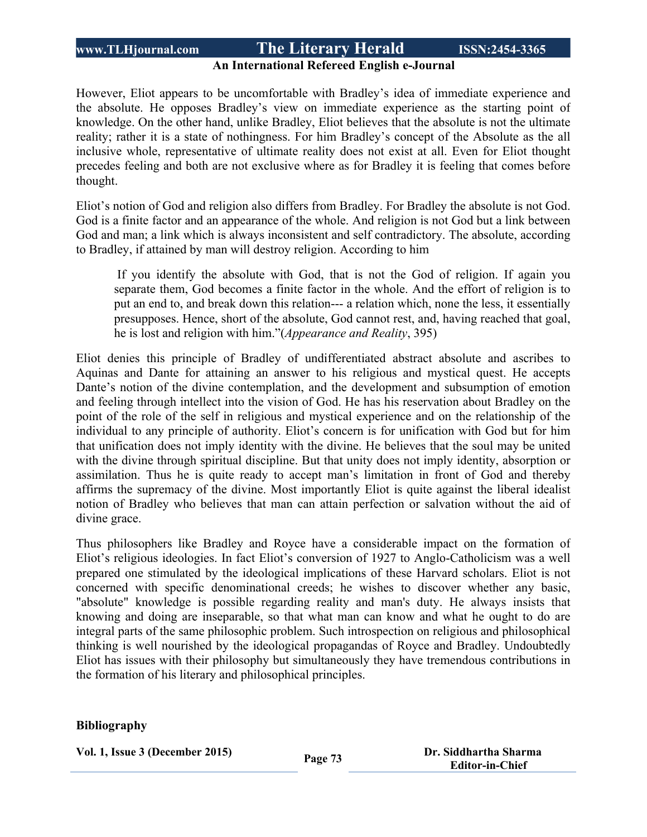### **An International Refereed English e-Journal**

However, Eliot appears to be uncomfortable with Bradley's idea of immediate experience and the absolute. He opposes Bradley's view on immediate experience as the starting point of knowledge. On the other hand, unlike Bradley, Eliot believes that the absolute is not the ultimate reality; rather it is a state of nothingness. For him Bradley's concept of the Absolute as the all inclusive whole, representative of ultimate reality does not exist at all. Even for Eliot thought precedes feeling and both are not exclusive where as for Bradley it is feeling that comes before thought.

Eliot's notion of God and religion also differs from Bradley. For Bradley the absolute is not God. God is a finite factor and an appearance of the whole. And religion is not God but a link between God and man; a link which is always inconsistent and self contradictory. The absolute, according to Bradley, if attained by man will destroy religion. According to him

If you identify the absolute with God, that is not the God of religion. If again you separate them, God becomes a finite factor in the whole. And the effort of religion is to put an end to, and break down this relation--- a relation which, none the less, it essentially presupposes. Hence, short of the absolute, God cannot rest, and, having reached that goal, he is lost and religion with him."(*Appearance and Reality*, 395)

Eliot denies this principle of Bradley of undifferentiated abstract absolute and ascribes to Aquinas and Dante for attaining an answer to his religious and mystical quest. He accepts Dante's notion of the divine contemplation, and the development and subsumption of emotion and feeling through intellect into the vision of God. He has his reservation about Bradley on the point of the role of the self in religious and mystical experience and on the relationship of the individual to any principle of authority. Eliot's concern is for unification with God but for him that unification does not imply identity with the divine. He believes that the soul may be united with the divine through spiritual discipline. But that unity does not imply identity, absorption or assimilation. Thus he is quite ready to accept man's limitation in front of God and thereby affirms the supremacy of the divine. Most importantly Eliot is quite against the liberal idealist notion of Bradley who believes that man can attain perfection or salvation without the aid of divine grace.

Thus philosophers like Bradley and Royce have a considerable impact on the formation of Eliot's religious ideologies. In fact Eliot's conversion of 1927 to Anglo-Catholicism was a well prepared one stimulated by the ideological implications of these Harvard scholars. Eliot is not concerned with specific denominational creeds; he wishes to discover whether any basic, "absolute" knowledge is possible regarding reality and man's duty. He always insists that knowing and doing are inseparable, so that what man can know and what he ought to do are integral parts of the same philosophic problem. Such introspection on religious and philosophical thinking is well nourished by the ideological propagandas of Royce and Bradley. Undoubtedly Eliot has issues with their philosophy but simultaneously they have tremendous contributions in the formation of his literary and philosophical principles.

#### **Bibliography**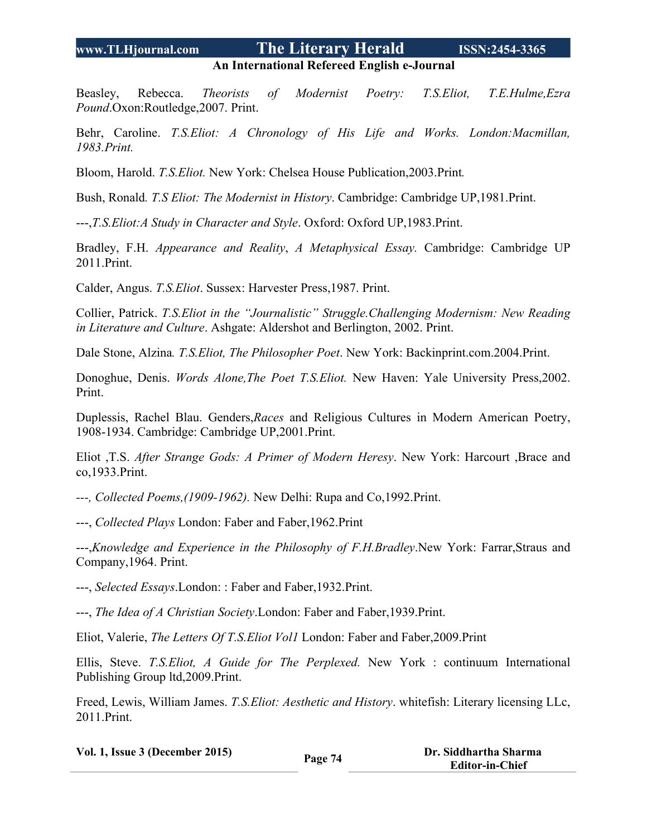**An International Refereed English e-Journal**

Beasley, Rebecca. *Theorists of Modernist Poetry: T.S.Eliot, T.E.Hulme,Ezra Pound*.Oxon:Routledge,2007. Print.

Behr, Caroline. *T.S.Eliot: A Chronology of His Life and Works. London:Macmillan, 1983.Print.*

Bloom, Harold. *T.S.Eliot.* New York: Chelsea House Publication,2003.Print*.*

Bush, Ronald*. T.S Eliot: The Modernist in History*. Cambridge: Cambridge UP,1981.Print.

---,*T.S.Eliot:A Study in Character and Style*. Oxford: Oxford UP,1983.Print.

Bradley, F.H. *Appearance and Reality*, *A Metaphysical Essay.* Cambridge: Cambridge UP 2011.Print.

Calder, Angus. *T.S.Eliot*. Sussex: Harvester Press,1987. Print.

Collier, Patrick. *T.S.Eliot in the "Journalistic" Struggle.Challenging Modernism: New Reading in Literature and Culture*. Ashgate: Aldershot and Berlington, 2002. Print.

Dale Stone, Alzina*. T.S.Eliot, The Philosopher Poet*. New York: Backinprint.com.2004.Print.

Donoghue, Denis. *Words Alone,The Poet T.S.Eliot.* New Haven: Yale University Press,2002. Print.

Duplessis, Rachel Blau. Genders,*Races* and Religious Cultures in Modern American Poetry, 1908-1934. Cambridge: Cambridge UP,2001.Print.

Eliot ,T.S. *After Strange Gods: A Primer of Modern Heresy*. New York: Harcourt ,Brace and co,1933.Print.

*---, Collected Poems,(1909-1962).* New Delhi: Rupa and Co,1992.Print.

---, *Collected Plays* London: Faber and Faber,1962.Print

---,*Knowledge and Experience in the Philosophy of F.H.Bradley*.New York: Farrar,Straus and Company,1964. Print.

---, *Selected Essays*.London: : Faber and Faber,1932.Print.

---, *The Idea of A Christian Society*.London: Faber and Faber,1939.Print.

Eliot, Valerie, *The Letters Of T.S.Eliot Vol1* London: Faber and Faber,2009.Print

Ellis, Steve. *T.S.Eliot, A Guide for The Perplexed.* New York : continuum International Publishing Group ltd,2009.Print.

Freed, Lewis, William James. *T.S.Eliot: Aesthetic and History*. whitefish: Literary licensing LLc, 2011.Print.

**Vol. 1, Issue <sup>3</sup> (December 2015) Page <sup>74</sup> Dr. Siddhartha Sharma**